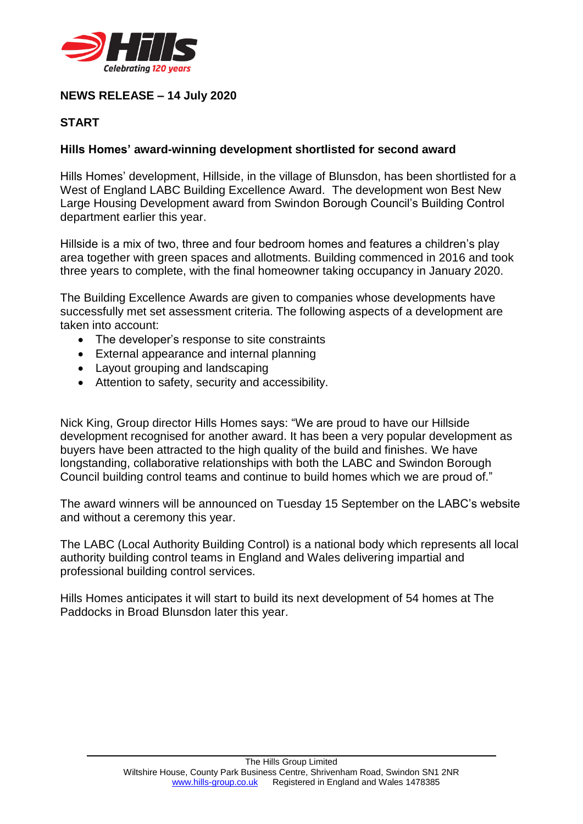

## **NEWS RELEASE – 14 July 2020**

## **START**

## **Hills Homes' award-winning development shortlisted for second award**

Hills Homes' development, Hillside, in the village of Blunsdon, has been shortlisted for a West of England LABC Building Excellence Award. The development won Best New Large Housing Development award from Swindon Borough Council's Building Control department earlier this year.

Hillside is a mix of two, three and four bedroom homes and features a children's play area together with green spaces and allotments. Building commenced in 2016 and took three years to complete, with the final homeowner taking occupancy in January 2020.

The Building Excellence Awards are given to companies whose developments have successfully met set assessment criteria. The following aspects of a development are taken into account:

- The developer's response to site constraints
- External appearance and internal planning
- Layout grouping and landscaping
- Attention to safety, security and accessibility.

Nick King, Group director Hills Homes says: "We are proud to have our Hillside development recognised for another award. It has been a very popular development as buyers have been attracted to the high quality of the build and finishes. We have longstanding, collaborative relationships with both the LABC and Swindon Borough Council building control teams and continue to build homes which we are proud of."

The award winners will be announced on Tuesday 15 September on the LABC's website and without a ceremony this year.

The LABC (Local Authority Building Control) is a national body which represents all local authority building control teams in England and Wales delivering impartial and professional building control services.

Hills Homes anticipates it will start to build its next development of 54 homes at The Paddocks in Broad Blunsdon later this year.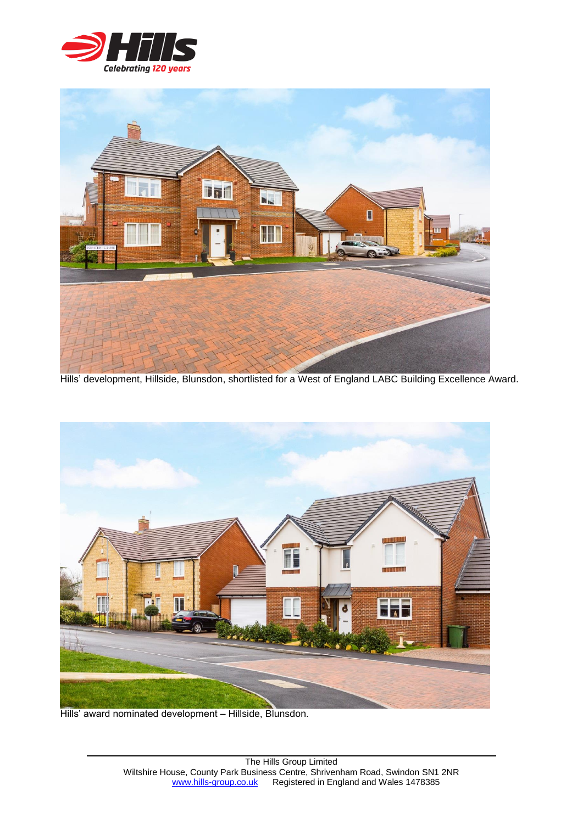



Hills' development, Hillside, Blunsdon, shortlisted for a West of England LABC Building Excellence Award.



Hills' award nominated development – Hillside, Blunsdon.